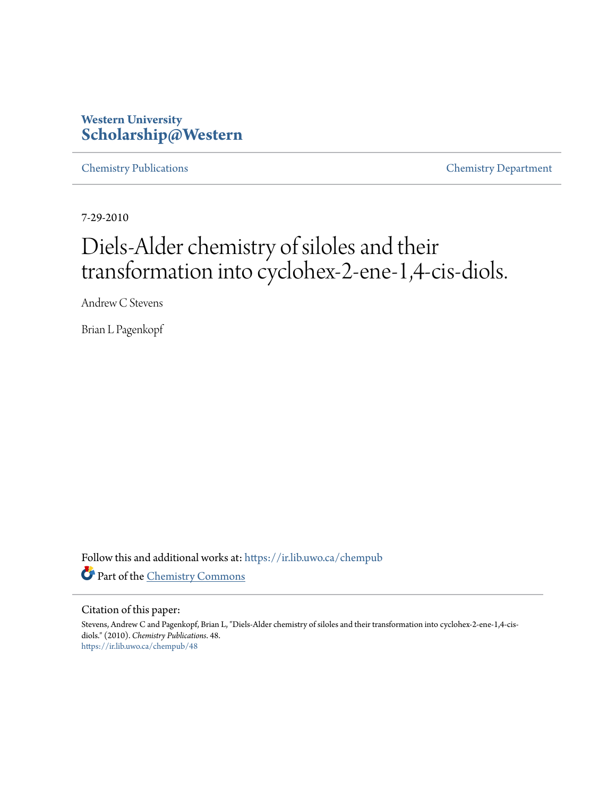### **Western University [Scholarship@Western](https://ir.lib.uwo.ca?utm_source=ir.lib.uwo.ca%2Fchempub%2F48&utm_medium=PDF&utm_campaign=PDFCoverPages)**

[Chemistry Publications](https://ir.lib.uwo.ca/chempub?utm_source=ir.lib.uwo.ca%2Fchempub%2F48&utm_medium=PDF&utm_campaign=PDFCoverPages) [Chemistry Department](https://ir.lib.uwo.ca/chem?utm_source=ir.lib.uwo.ca%2Fchempub%2F48&utm_medium=PDF&utm_campaign=PDFCoverPages)

7-29-2010

# Diels-Alder chemistry of siloles and their transformation into cyclohex-2-ene-1,4-cis-diols.

Andrew C Stevens

Brian L Pagenkopf

Follow this and additional works at: [https://ir.lib.uwo.ca/chempub](https://ir.lib.uwo.ca/chempub?utm_source=ir.lib.uwo.ca%2Fchempub%2F48&utm_medium=PDF&utm_campaign=PDFCoverPages) Part of the [Chemistry Commons](http://network.bepress.com/hgg/discipline/131?utm_source=ir.lib.uwo.ca%2Fchempub%2F48&utm_medium=PDF&utm_campaign=PDFCoverPages)

#### Citation of this paper:

Stevens, Andrew C and Pagenkopf, Brian L, "Diels-Alder chemistry of siloles and their transformation into cyclohex-2-ene-1,4-cisdiols." (2010). *Chemistry Publications*. 48. [https://ir.lib.uwo.ca/chempub/48](https://ir.lib.uwo.ca/chempub/48?utm_source=ir.lib.uwo.ca%2Fchempub%2F48&utm_medium=PDF&utm_campaign=PDFCoverPages)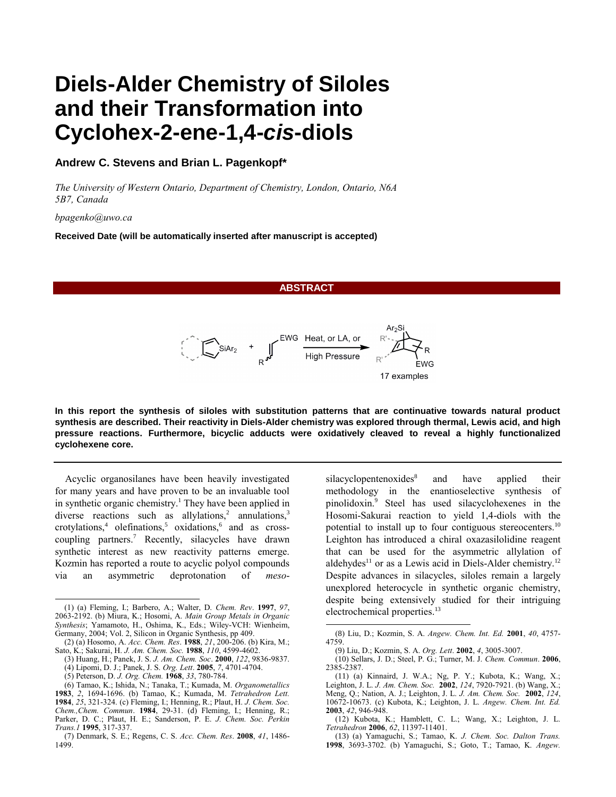## **Diels-Alder Chemistry of Siloles and their Transformation into Cyclohex-2-ene-1,4-***cis***-diols**

#### **Andrew C. Stevens and Brian L. Pagenkopf\***

*The University of Western Ontario, Department of Chemistry, London, Ontario, N6A 5B7, Canada* 

*bpagenko@uwo.ca* 

**Received Date (will be automatically inserted after manuscript is accepted)**

**ABSTRACT**



**In this report the synthesis of siloles with substitution patterns that are continuative towards natural product synthesis are described. Their reactivity in Diels-Alder chemistry was explored through thermal, Lewis acid, and high pressure reactions. Furthermore, bicyclic adducts were oxidatively cleaved to reveal a highly functionalized cyclohexene core.**

l

Acyclic organosilanes have been heavily investigated for many years and have proven to be an invaluable tool in synthetic organic chemistry.<sup>1</sup> They have been applied in diverse reactions such as allylations,<sup>2</sup> annulations,<sup>3</sup> crotylations,<sup>4</sup> olefinations,<sup>5</sup> oxidations,<sup>6</sup> and as crosscoupling partners.<sup>7</sup> Recently, silacycles have drawn synthetic interest as new reactivity patterns emerge. Kozmin has reported a route to acyclic polyol compounds via an asymmetric deprotonation of *meso*-

l

<span id="page-1-1"></span><span id="page-1-0"></span>silacyclopentenoxides<sup>8</sup> and have applied their methodology in the enantioselective synthesis of pinolidoxin.<sup>9</sup> Steel has used silacyclohexenes in the Hosomi-Sakurai reaction to yield 1,4-diols with the potential to install up to four contiguous stereocenters.<sup>10</sup> Leighton has introduced a chiral oxazasilolidine reagent that can be used for the asymmetric allylation of aldehydes<sup>11</sup> or as a Lewis acid in Diels-Alder chemistry.<sup>12</sup> Despite advances in silacycles, siloles remain a largely unexplored heterocycle in synthetic organic chemistry, despite being extensively studied for their intriguing electrochemical properties. 13

<sup>(1)</sup> (a) Fleming, I.; Barbero, A.; Walter, D. *Chem. Rev*. **1997**, *97*, 2063-2192. (b) Miura, K.; Hosomi, A. *Main Group Metals in Organic Synthesis*; Yamamoto, H., Oshima, K., Eds.; Wiley-VCH: Wienheim, Germany, 2004; Vol. 2, Silicon in Organic Synthesis, pp 409.

<sup>(2)</sup> (a) Hosomo, A. *Acc. Chem. Res*. **1988**, *21*, 200-206. (b) Kira, M.; Sato, K.; Sakurai, H. *J. Am. Chem. Soc.* **1988**, *110*, 4599-4602.

<sup>(3)</sup> Huang, H.; Panek, J. S. *J. Am. Chem. Soc*. **2000**, *122*, 9836-9837. (4) Lipomi, D. J.; Panek, J. S. *Org. Lett*. **2005**, *7*, 4701-4704.

<sup>(5)</sup> Peterson, D. *J. Org. Chem.* **1968**, *33*, 780-784.

<sup>(6)</sup> Tamao, K.; Ishida, N.; Tanaka, T.; Kumada, M. *Organometallics* **1983**, *2*, 1694-1696. (b) Tamao, K.; Kumada, M. *Tetrahedron Lett.* **1984**, *25*, 321-324. (c) Fleming, I.; Henning, R.; Plaut, H. *J. Chem. Soc. Chem.,Chem. Commun*. **1984**, 29-31. (d) Fleming, I.; Henning, R.; Parker, D. C.; Plaut, H. E.; Sanderson, P. E. *J. Chem. Soc. Perkin* 

*Trans.1* **1995**, 317-337. (7) Denmark, S. E.; Regens, C. S. *Acc. Chem. Res*. **2008**, *41*, 1486- 1499.

<sup>(</sup>8) Liu, D.; Kozmin, S. A. *Angew. Chem. Int. Ed.* **2001**, *40*, 4757- 4759.

<sup>(</sup>9) Liu, D.; Kozmin, S. A. *Org. Lett*. **2002**, *4*, 3005-3007.

<sup>(</sup>10) Sellars, J. D.; Steel, P. G.; Turner, M. J. *Chem. Commun*. **2006**, 2385-2387.

<sup>(</sup>11) (a) Kinnaird, J. W.A.; Ng, P. Y.; Kubota, K.; Wang, X.; Leighton, J. L. *J. Am. Chem. Soc.* **2002**, *124*, 7920-7921. (b) Wang, X.; Meng, Q.; Nation, A. J.; Leighton, J. L. *J. Am. Chem. Soc.* **2002**, *124*, 10672-10673. (c) Kubota, K.; Leighton, J. L. *Angew. Chem. Int. Ed.*  **2003**, *42*, 946-948.

<sup>(12)</sup> Kubota, K.; Hamblett, C. L.; Wang, X.; Leighton, J. L. *Tetrahedron* **2006**, *62*, 11397-11401.

<sup>(</sup>13) (a) Yamaguchi, S.; Tamao, K. *J. Chem. Soc. Dalton Trans.* **1998**, 3693-3702. (b) Yamaguchi, S.; Goto, T.; Tamao, K. *Angew.*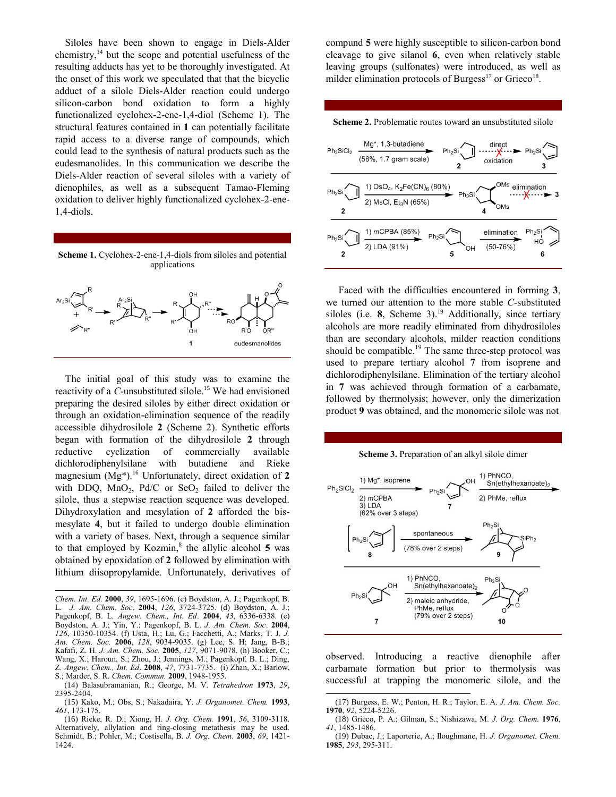Siloles have been shown to engage in Diels-Alder chemistry, <sup>14</sup> but the scope and potential usefulness of the resulting adducts has yet to be thoroughly investigated. At the onset of this work we speculated that that the bicyclic adduct of a silole Diels-Alder reaction could undergo silicon-carbon bond oxidation to form a highly functionalized cyclohex-2-ene-1,4-diol (Scheme 1). The structural features contained in **1** can potentially facilitate rapid access to a diverse range of compounds, which could lead to the synthesis of natural products such as the eudesmanolides. In this communication we describe the Diels-Alder reaction of several siloles with a variety of dienophiles, as well as a subsequent Tamao-Fleming oxidation to deliver highly functionalized cyclohex-2-ene-1,4-diols.



The initial goal of this study was to examine the reactivity of a *C*-unsubstituted silole. <sup>15</sup> We had envisioned preparing the desired siloles by either direct oxidation or through an oxidation-elimination sequence of the readily accessible dihydrosilole **2** (Scheme 2). Synthetic efforts began with formation of the dihydrosilole **2** through reductive cyclization of commercially available dichlorodiphenylsilane with butadiene and Rieke magnesium (Mg\*).<sup>16</sup> Unfortunately, direct oxidation of **2** with DDQ,  $MnO<sub>2</sub>$ , Pd/C or Se $O<sub>2</sub>$  failed to deliver the silole, thus a stepwise reaction sequence was developed. Dihydroxylation and mesylation of **2** afforded the bismesylate **4**, but it failed to undergo double elimination with a variety of bases. Next, through a sequence similar to that employed by Kozmi[n,](#page-1-0) ${}^8$  the allylic alcohol 5 was obtained by epoxidation of **2** followed by elimination with lithium diisopropylamide. Unfortunately, derivatives of

-

compund **5** were highly susceptible to silicon-carbon bond cleavage to give silanol **6**, even when relatively stable leaving groups (sulfonates) were introduced, as well as milder elimination protocols of Burgess $^{17}$  or Grieco<sup>18</sup>.





<span id="page-2-0"></span>Faced with the difficulties encountered in forming **3**, we turned our attention to the more stable *C*-substituted siloles (i.e. **8**, Scheme 3). <sup>19</sup> Additionally, since tertiary alcohols are more readily eliminated from dihydrosiloles than are secondary alcohols, milder reaction conditions should be compatible.<sup>[19](#page-2-0)</sup> The same three-step protocol was used to prepare tertiary alcohol **7** from isoprene and dichlorodiphenylsilane. Elimination of the tertiary alcohol in **7** was achieved through formation of a carbamate, followed by thermolysis; however, only the dimerization product **9** was obtained, and the monomeric silole was not

**Scheme 3.** Preparation of an alkyl silole dimer

<span id="page-2-1"></span>

observed. Introducing a reactive dienophile after carbamate formation but prior to thermolysis was successful at trapping the monomeric silole, and the l

*Chem. Int. Ed.* **2000**, *39*, 1695-1696. (c) Boydston, A. J.; Pagenkopf, B. L. *J. Am. Chem. Soc*. **2004**, *126*, 3724-3725. (d) Boydston, A. J.; Pagenkopf, B. L. *Angew. Chem., Int. Ed*. **2004**, *43*, 6336-6338. (e) Boydston, A. J.; Yin, Y.; Pagenkopf, B. L. *J. Am. Chem. Soc*. **2004**, *126*, 10350-10354. (f) Usta, H.; Lu, G.; Facchetti, A.; Marks, T. J. *J. Am. Chem. Soc.* **2006**, *128*, 9034-9035. (g) Lee, S. H; Jang, B-B.; Kafafi, Z. H. *J. Am. Chem. Soc.* **2005**, *127*, 9071-9078. (h) Booker, C.; Wang, X.; Haroun, S.; Zhou, J.; Jennings, M.; Pagenkopf, B. L.; Ding, Z. *Angew. Chem., Int. Ed*. **2008**, *47*, 7731-7735. (i) Zhan, X.; Barlow, S.; Marder, S. R. *Chem. Commun.* **2009**, 1948-1955.

<sup>(</sup>14) Balasubramanian, R.; George, M. V. *Tetrahedron* **1973**, *29*, 2395-2404.

<sup>(</sup>15) Kako, M.; Obs, S.; Nakadaira, Y. *J. Organomet. Chem.* **1993**, *461*, 173-175.

<sup>(</sup>16) Rieke, R. D.; Xiong, H. *J. Org. Chem.* **1991**, *56*, 3109-3118. Alternatively, allylation and ring-closing metathesis may be used. Schmidt, B.; Pohler, M.; Costisella, B. *J. Org. Chem*. **2003**, *69*, 1421- 1424.

<sup>(</sup>17) Burgess, E. W.; Penton, H. R.; Taylor, E. A. *J. Am. Chem. Soc.* **1970**, *92*, 5224-5226.

<sup>(</sup>18) Grieco, P. A.; Gilman, S.; Nishizawa, M. *J. Org. Chem.* **1976**, *41*, 1485-1486.

<sup>(</sup>19) Dubac, J.; Laporterie, A.; Iloughmane, H. *J. Organomet. Chem.* **1985**, *293*, 295-311.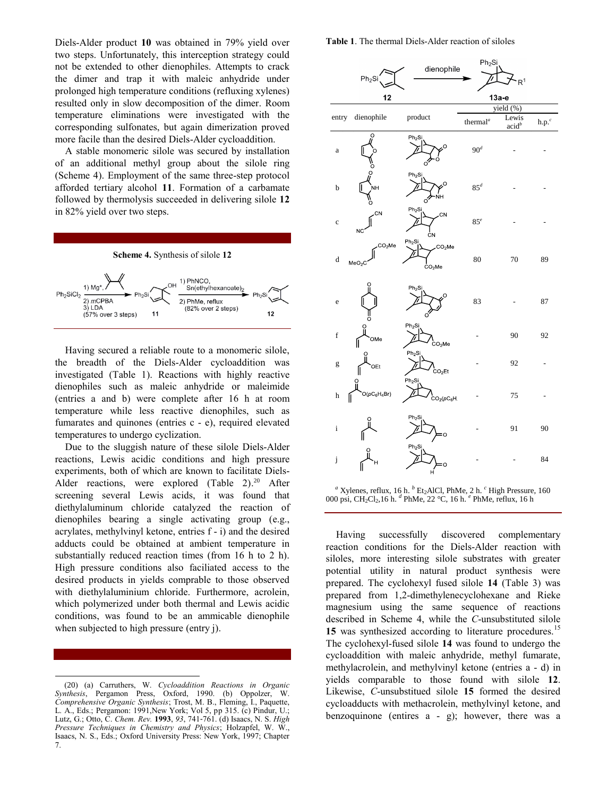Diels-Alder product **10** was obtained in 79% yield over two steps. Unfortunately, this interception strategy could not be extended to other dienophiles. Attempts to crack the dimer and trap it with maleic anhydride under prolonged high temperature conditions (refluxing xylenes) resulted only in slow decomposition of the dimer. Room temperature eliminations were investigated with the corresponding sulfonates, but again dimerization proved more facile than the desired Diels-Alder cycloaddition.

A stable monomeric silole was secured by installation of an additional methyl group about the silole ring (Scheme 4). Employment of the same three-step protocol afforded tertiary alcohol **11**. Formation of a carbamate followed by thermolysis succeeded in delivering silole **12** in 82% yield over two steps.



Having secured a reliable route to a monomeric silole, the breadth of the Diels-Alder cycloaddition was investigated (Table 1). Reactions with highly reactive dienophiles such as maleic anhydride or maleimide (entries a and b) were complete after 16 h at room temperature while less reactive dienophiles, such as fumarates and quinones (entries c - e), required elevated temperatures to undergo cyclization.

Due to the sluggish nature of these silole Diels-Alder reactions, Lewis acidic conditions and high pressure experiments, both of which are known to facilitate Diels-Alder reactions, were explored (Table 2).<sup>20</sup> After screening several Lewis acids, it was found that diethylaluminum chloride catalyzed the reaction of dienophiles bearing a single activating group (e.g., acrylates, methylvinyl ketone, entries f - i) and the desired adducts could be obtained at ambient temperature in substantially reduced reaction times (from 16 h to 2 h). High pressure conditions also faciliated access to the desired products in yields comprable to those observed with diethylaluminium chloride. Furthermore, acrolein, which polymerized under both thermal and Lewis acidic conditions, was found to be an ammicable dienophile when subjected to high pressure (entry j).

**Table 1**. The thermal Diels-Alder reaction of siloles

|             | Ph <sub>2</sub> Si                       | dienophile                                                | Ph <sub>2</sub> Si                | R <sup>1</sup>             |                            |
|-------------|------------------------------------------|-----------------------------------------------------------|-----------------------------------|----------------------------|----------------------------|
| 12          |                                          |                                                           | 13а-е                             |                            |                            |
|             |                                          |                                                           | yield (%)                         |                            |                            |
| entry       | dienophile                               | product                                                   | thermal <sup><math>a</math></sup> | Lewis<br>acid <sup>b</sup> | $\mathbf{h}.\mathbf{p}.^c$ |
| a           | O                                        | Ph <sub>2</sub> Si<br>O<br>C                              | 90 <sup>d</sup>                   |                            |                            |
| $\mathbf b$ | Ō<br>ŃН                                  | $Ph2$ Si<br>O<br>ŃH<br>റ                                  | $85^d$                            |                            |                            |
| $\mathbf c$ | CN<br><b>NC</b>                          | $Ph2$ Si<br><b>CN</b><br>ĊΝ                               | $85^e$                            |                            |                            |
| $\rm d$     | CO <sub>2</sub> Me<br>MeO <sub>2</sub> C | $Ph_2Si$<br>CO <sub>2</sub> Me<br>CO <sub>2</sub> Me      | 80                                | 70                         | 89                         |
| e           | Ċ                                        | $Ph2$ Si                                                  | 83                                |                            | 87                         |
| $\mathbf f$ | OMe                                      | $Ph2$ Si<br>.<br>CO <sub>2</sub> Me                       |                                   | 90                         | 92                         |
| g           | OEt                                      | $Ph2$ Si<br>CO <sub>2</sub> Et                            |                                   | 92                         |                            |
| h           | O<br>$O(pC_6H_4Br)$                      | Ph <sub>2</sub> Si<br>CO <sub>2</sub> (pC <sub>6</sub> H) |                                   | 75                         |                            |
| $\rm i$     |                                          | Ph <sub>2</sub> Si<br>Ō                                   |                                   | 91                         | 90                         |
| j           | H                                        | Ph <sub>2</sub> Si<br>Ó                                   |                                   |                            | 84                         |
|             |                                          |                                                           |                                   |                            |                            |

<sup>&</sup>lt;sup>*a*</sup> Xylenes, reflux, 16 h. <sup>*b*</sup> Et<sub>2</sub>AlCl, PhMe, 2 h. <sup>*c*</sup> High Pressure, 160 000 psi, CH2Cl2,16 h. *d* PhMe, 22 °C, 16 h. *e* PhMe, reflux, 16 h

Having successfully discovered complementary reaction conditions for the Diels-Alder reaction with siloles, more interesting silole substrates with greater potential utility in natural product synthesis were prepared. The cyclohexyl fused silole **14** (Table 3) was prepared from 1,2-dimethylenecyclohexane and Rieke magnesium using the same sequence of reactions described in Scheme 4, while the *C*-unsubstituted silole [15](#page-2-1) was synthesized according to literature procedures.<sup>15</sup> The cyclohexyl-fused silole **14** was found to undergo the cycloaddition with maleic anhydride, methyl fumarate, methylacrolein, and methylvinyl ketone (entries a - d) in yields comparable to those found with silole **12**. Likewise, *C*-unsubstitued silole **15** formed the desired cycloadducts with methacrolein, methylvinyl ketone, and benzoquinone (entires a - g); however, there was a

l (20) (a) Carruthers, W. *Cycloaddition Reactions in Organic Synthesis*, Pergamon Press, Oxford, 1990. (b) Oppolzer, W. *Comprehensive Organic Synthesis*; Trost, M. B., Fleming, I., Paquette, L. A., Eds.; Pergamon: 1991,New York; Vol 5, pp 315. (c) Pindur, U.; Lutz, G.; Otto, C. *Chem. Rev.* **1993**, *93*, 741-761. (d) Isaacs, N. S. *High Pressure Techniques in Chemistry and Physics*; Holzapfel, W. W., Isaacs, N. S., Eds.; Oxford University Press: New York, 1997; Chapter 7.